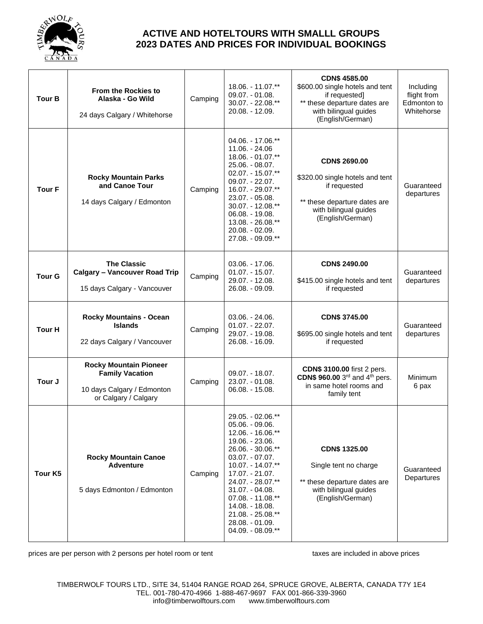

## **ACTIVE AND HOTELTOURS WITH SMALLL GROUPS 2023 DATES AND PRICES FOR INDIVIDUAL BOOKINGS**

| <b>Tour B</b>      | <b>From the Rockies to</b><br>Alaska - Go Wild<br>24 days Calgary / Whitehorse                                | Camping | 18.06. - 11.07.**<br>09.07. - 01.08.<br>30.07. - 22.08.**<br>20.08. - 12.09.                                                                                                                                                                                                                                | <b>CDN\$4585.00</b><br>\$600.00 single hotels and tent<br>if requested]<br>** these departure dates are<br>with bilingual guides<br>(English/German) | Including<br>flight from<br>Edmonton to<br>Whitehorse |
|--------------------|---------------------------------------------------------------------------------------------------------------|---------|-------------------------------------------------------------------------------------------------------------------------------------------------------------------------------------------------------------------------------------------------------------------------------------------------------------|------------------------------------------------------------------------------------------------------------------------------------------------------|-------------------------------------------------------|
| <b>Tour F</b>      | <b>Rocky Mountain Parks</b><br>and Canoe Tour<br>14 days Calgary / Edmonton                                   | Camping | 04.06. - 17.06.**<br>11.06. - 24.06<br>18.06. - 01.07.**<br>25.06. - 08.07.<br>$02.07. - 15.07.*$<br>$09.07. - 22.07.$<br>16.07. - 29.07.**<br>23.07. - 05.08.<br>30.07. - 12.08.**<br>06.08. - 19.08.<br>13.08. - 26.08.**<br>20.08. - 02.09.<br>27.08. - 09.09.**                                         | <b>CDN\$ 2690.00</b><br>\$320.00 single hotels and tent<br>if requested<br>** these departure dates are<br>with bilingual guides<br>(English/German) | Guaranteed<br>departures                              |
| <b>Tour G</b>      | <b>The Classic</b><br><b>Calgary - Vancouver Road Trip</b><br>15 days Calgary - Vancouver                     | Camping | 03.06. - 17.06.<br>$01.07. - 15.07.$<br>29.07. - 12.08.<br>26.08. - 09.09.                                                                                                                                                                                                                                  | <b>CDN\$ 2490.00</b><br>\$415.00 single hotels and tent<br>if requested                                                                              | Guaranteed<br>departures                              |
| <b>Tour H</b>      | <b>Rocky Mountains - Ocean</b><br><b>Islands</b><br>22 days Calgary / Vancouver                               | Camping | $03.06. - 24.06.$<br>$01.07. - 22.07.$<br>29.07. - 19.08.<br>26.08. - 16.09.                                                                                                                                                                                                                                | CDN\$ 3745.00<br>\$695.00 single hotels and tent<br>if requested                                                                                     | Guaranteed<br>departures                              |
| Tour J             | <b>Rocky Mountain Pioneer</b><br><b>Family Vacation</b><br>10 days Calgary / Edmonton<br>or Calgary / Calgary | Camping | 09.07. - 18.07.<br>23.07. - 01.08.<br>06.08. - 15.08.                                                                                                                                                                                                                                                       | <b>CDN\$ 3100.00</b> first 2 pers.<br>CDN\$ 960.00 3rd and 4th pers.<br>in same hotel rooms and<br>family tent                                       | Minimum<br>6 pax                                      |
| Tour <sub>K5</sub> | <b>Rocky Mountain Canoe</b><br><b>Adventure</b><br>5 days Edmonton / Edmonton                                 | Camping | 29.05. - 02.06.**<br>05.06. - 09.06.<br>12.06. - 16.06.**<br>19.06. - 23.06.<br>26.06. - 30.06.**<br>$03.07. - 07.07.$<br>10.07. - 14.07.**<br>17.07. - 21.07.<br>24.07. - 28.07.**<br>31.07. - 04.08.<br>07.08. - 11.08.**<br>14.08. - 18.08.<br>21.08. - 25.08.**<br>28.08. - 01.09.<br>04.09. - 08.09.** | <b>CDN\$1325.00</b><br>Single tent no charge<br>** these departure dates are<br>with bilingual guides<br>(English/German)                            | Guaranteed<br>Departures                              |

prices are per person with 2 persons per hotel room or tent taxes are included in above prices